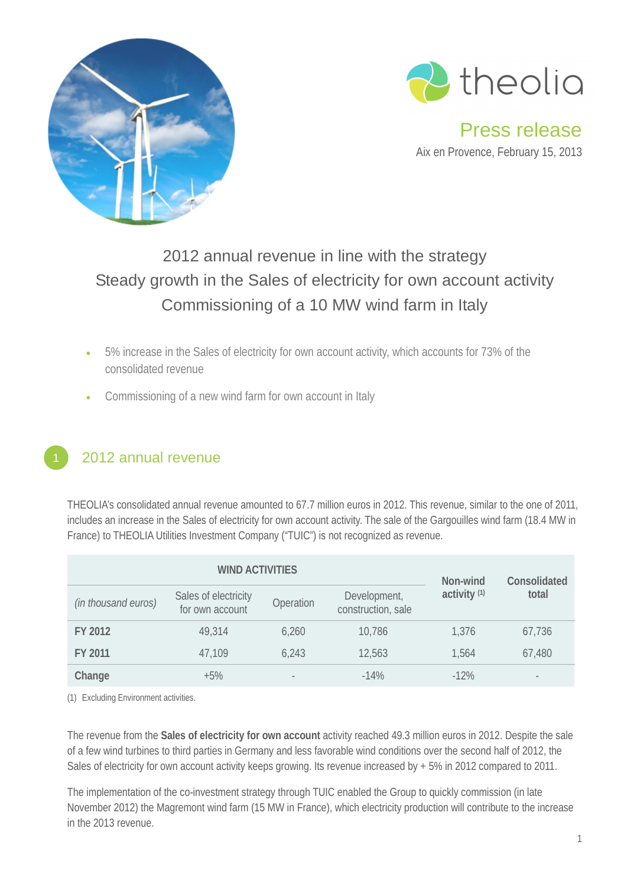



Press release Aix en Provence, February 15, 2013

# 2012 annual revenue in line with the strategy Steady growth in the Sales of electricity for own account activity Commissioning of a 10 MW wind farm in Italy

- 5% increase in the Sales of electricity for own account activity, which accounts for 73% of the consolidated revenue
- Commissioning of a new wind farm for own account in Italy

## 2012 annual revenue

THEOLIA's consolidated annual revenue amounted to 67.7 million euros in 2012. This revenue, similar to the one of 2011, includes an increase in the Sales of electricity for own account activity. The sale of the Gargouilles wind farm (18.4 MW in France) to THEOLIA Utilities Investment Company ("TUIC") is not recognized as revenue.

|                     | Non-wind                                | Consolidated             |                                    |                         |                          |
|---------------------|-----------------------------------------|--------------------------|------------------------------------|-------------------------|--------------------------|
| (in thousand euros) | Sales of electricity<br>for own account | Operation                | Development,<br>construction, sale | activity <sup>(1)</sup> | total                    |
| FY 2012             | 49,314                                  | 6,260                    | 10,786                             | 1,376                   | 67,736                   |
| FY 2011             | 47,109                                  | 6,243                    | 12,563                             | 1,564                   | 67,480                   |
| Change              | $+5\%$                                  | $\overline{\phantom{a}}$ | $-14%$                             | $-12%$                  | $\overline{\phantom{m}}$ |

(1) Excluding Environment activities.

The revenue from the **Sales of electricity for own account** activity reached 49.3 million euros in 2012. Despite the sale of a few wind turbines to third parties in Germany and less favorable wind conditions over the second half of 2012, the Sales of electricity for own account activity keeps growing. Its revenue increased by + 5% in 2012 compared to 2011.

The implementation of the co-investment strategy through TUIC enabled the Group to quickly commission (in late November 2012) the Magremont wind farm (15 MW in France), which electricity production will contribute to the increase in the 2013 revenue.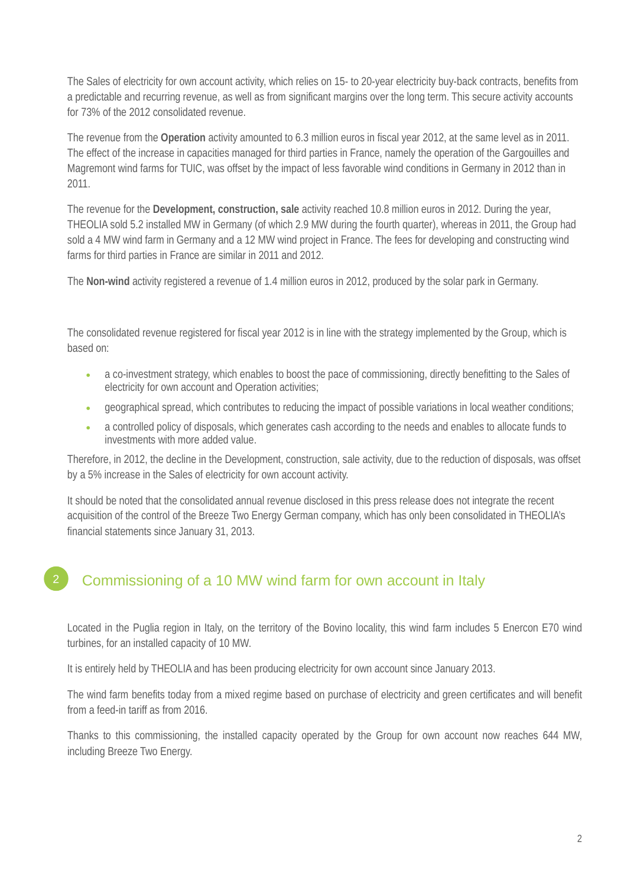The Sales of electricity for own account activity, which relies on 15- to 20-year electricity buy-back contracts, benefits from a predictable and recurring revenue, as well as from significant margins over the long term. This secure activity accounts for 73% of the 2012 consolidated revenue.

The revenue from the **Operation** activity amounted to 6.3 million euros in fiscal year 2012, at the same level as in 2011. The effect of the increase in capacities managed for third parties in France, namely the operation of the Gargouilles and Magremont wind farms for TUIC, was offset by the impact of less favorable wind conditions in Germany in 2012 than in 2011.

The revenue for the **Development, construction, sale** activity reached 10.8 million euros in 2012. During the year, THEOLIA sold 5.2 installed MW in Germany (of which 2.9 MW during the fourth quarter), whereas in 2011, the Group had sold a 4 MW wind farm in Germany and a 12 MW wind project in France. The fees for developing and constructing wind farms for third parties in France are similar in 2011 and 2012.

The **Non-wind** activity registered a revenue of 1.4 million euros in 2012, produced by the solar park in Germany.

The consolidated revenue registered for fiscal year 2012 is in line with the strategy implemented by the Group, which is based on:

- a co-investment strategy, which enables to boost the pace of commissioning, directly benefitting to the Sales of electricity for own account and Operation activities;
- geographical spread, which contributes to reducing the impact of possible variations in local weather conditions;
- a controlled policy of disposals, which generates cash according to the needs and enables to allocate funds to investments with more added value.

Therefore, in 2012, the decline in the Development, construction, sale activity, due to the reduction of disposals, was offset by a 5% increase in the Sales of electricity for own account activity.

It should be noted that the consolidated annual revenue disclosed in this press release does not integrate the recent acquisition of the control of the Breeze Two Energy German company, which has only been consolidated in THEOLIA's financial statements since January 31, 2013.

#### Commissioning of a 10 MW wind farm for own account in Italy 2

Located in the Puglia region in Italy, on the territory of the Bovino locality, this wind farm includes 5 Enercon E70 wind turbines, for an installed capacity of 10 MW.

It is entirely held by THEOLIA and has been producing electricity for own account since January 2013.

The wind farm benefits today from a mixed regime based on purchase of electricity and green certificates and will benefit from a feed-in tariff as from 2016.

Thanks to this commissioning, the installed capacity operated by the Group for own account now reaches 644 MW, including Breeze Two Energy.